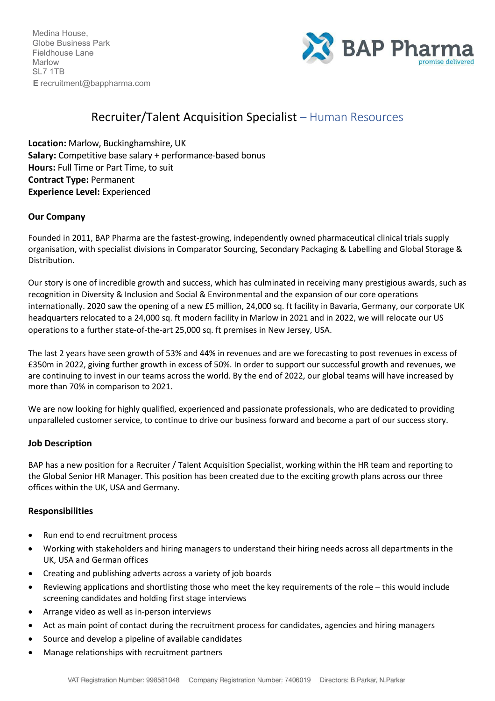Medina House, Globe Business Park Fieldhouse Lane Marlow SL7 1TB **E** [recruitment@bappharma.com](mailto:recruitment@bappharma.com)



# Recruiter/Talent Acquisition Specialist – Human Resources

**Location:** Marlow, Buckinghamshire, UK **Salary:** Competitive base salary + performance-based bonus **Hours:** Full Time or Part Time, to suit **Contract Type:** Permanent **Experience Level:** Experienced

## **Our Company**

Founded in 2011, BAP Pharma are the fastest-growing, independently owned pharmaceutical clinical trials supply organisation, with specialist divisions in Comparator Sourcing, Secondary Packaging & Labelling and Global Storage & Distribution.

Our story is one of incredible growth and success, which has culminated in receiving many prestigious awards, such as recognition in Diversity & Inclusion and Social & Environmental and the expansion of our core operations internationally. 2020 saw the opening of a new £5 million, 24,000 sq. ft facility in Bavaria, Germany, our corporate UK headquarters relocated to a 24,000 sq. ft modern facility in Marlow in 2021 and in 2022, we will relocate our US operations to a further state-of-the-art 25,000 sq. ft premises in New Jersey, USA.

The last 2 years have seen growth of 53% and 44% in revenues and are we forecasting to post revenues in excess of £350m in 2022, giving further growth in excess of 50%. In order to support our successful growth and revenues, we are continuing to invest in our teams across the world. By the end of 2022, our global teams will have increased by more than 70% in comparison to 2021.

We are now looking for highly qualified, experienced and passionate professionals, who are dedicated to providing unparalleled customer service, to continue to drive our business forward and become a part of our success story.

## **Job Description**

BAP has a new position for a Recruiter / Talent Acquisition Specialist, working within the HR team and reporting to the Global Senior HR Manager. This position has been created due to the exciting growth plans across our three offices within the UK, USA and Germany.

## **Responsibilities**

- Run end to end recruitment process
- Working with stakeholders and hiring managers to understand their hiring needs across all departments in the UK, USA and German offices
- Creating and publishing adverts across a variety of job boards
- Reviewing applications and shortlisting those who meet the key requirements of the role this would include screening candidates and holding first stage interviews
- Arrange video as well as in-person interviews
- Act as main point of contact during the recruitment process for candidates, agencies and hiring managers
- Source and develop a pipeline of available candidates
- Manage relationships with recruitment partners